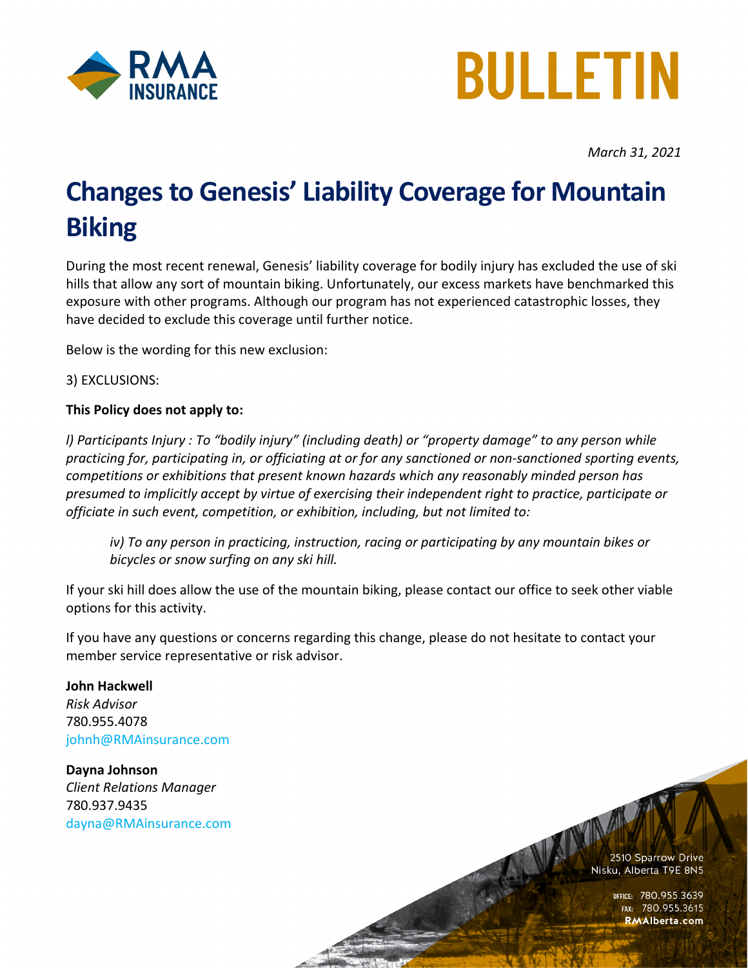



*March 31, 2021*

## **Changes to Genesis' Liability Coverage for Mountain Biking**

During the most recent renewal, Genesis' liability coverage for bodily injury has excluded the use of ski hills that allow any sort of mountain biking. Unfortunately, our excess markets have benchmarked this exposure with other programs. Although our program has not experienced catastrophic losses, they have decided to exclude this coverage until further notice.

Below is the wording for this new exclusion:

3) EXCLUSIONS:

## **This Policy does not apply to:**

*l) Participants Injury : To "bodily injury" (including death) or "property damage" to any person while practicing for, participating in, or officiating at or for any sanctioned or non-sanctioned sporting events, competitions or exhibitions that present known hazards which any reasonably minded person has presumed to implicitly accept by virtue of exercising their independent right to practice, participate or officiate in such event, competition, or exhibition, including, but not limited to:*

*iv) To any person in practicing, instruction, racing or participating by any mountain bikes or bicycles or snow surfing on any ski hill.* 

If your ski hill does allow the use of the mountain biking, please contact our office to seek other viable options for this activity.

If you have any questions or concerns regarding this change, please do not hesitate to contact your member service representative or risk advisor.

**John Hackwell** *Risk Advisor* 780.955.4078 [johnh@RMAinsurance.com](mailto:johnh@RMAinsurance.com)

**Dayna Johnson** *Client Relations Manager* 780.937.9435 [dayna@RMAinsurance.com](mailto:dayna@RMAinsurance.com)

2510 Sparrow Drive Nisku, Alberta T9E 8N5

OFFICE: 780.955.3639<br>Fax: 780.955.3615 **RMAlberta.com**